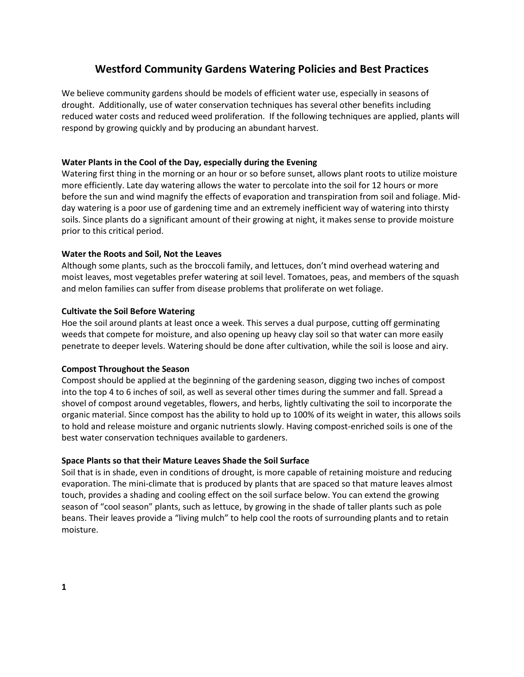# **Westford Community Gardens Watering Policies and Best Practices**

We believe community gardens should be models of efficient water use, especially in seasons of drought. Additionally, use of water conservation techniques has several other benefits including reduced water costs and reduced weed proliferation. If the following techniques are applied, plants will respond by growing quickly and by producing an abundant harvest.

# **Water Plants in the Cool of the Day, especially during the Evening**

Watering first thing in the morning or an hour or so before sunset, allows plant roots to utilize moisture more efficiently. Late day watering allows the water to percolate into the soil for 12 hours or more before the sun and wind magnify the effects of evaporation and transpiration from soil and foliage. Midday watering is a poor use of gardening time and an extremely inefficient way of watering into thirsty soils. Since plants do a significant amount of their growing at night, it makes sense to provide moisture prior to this critical period.

# **Water the Roots and Soil, Not the Leaves**

Although some plants, such as the broccoli family, and lettuces, don't mind overhead watering and moist leaves, most vegetables prefer watering at soil level. Tomatoes, peas, and members of the squash and melon families can suffer from disease problems that proliferate on wet foliage.

## **Cultivate the Soil Before Watering**

Hoe the soil around plants at least once a week. This serves a dual purpose, cutting off germinating weeds that compete for moisture, and also opening up heavy clay soil so that water can more easily penetrate to deeper levels. Watering should be done after cultivation, while the soil is loose and airy.

## **Compost Throughout the Season**

Compost should be applied at the beginning of the gardening season, digging two inches of compost into the top 4 to 6 inches of soil, as well as several other times during the summer and fall. Spread a shovel of compost around vegetables, flowers, and herbs, lightly cultivating the soil to incorporate the organic material. Since compost has the ability to hold up to 100% of its weight in water, this allows soils to hold and release moisture and organic nutrients slowly. Having compost-enriched soils is one of the best water conservation techniques available to gardeners.

## **Space Plants so that their Mature Leaves Shade the Soil Surface**

Soil that is in shade, even in conditions of drought, is more capable of retaining moisture and reducing evaporation. The mini-climate that is produced by plants that are spaced so that mature leaves almost touch, provides a shading and cooling effect on the soil surface below. You can extend the growing season of "cool season" plants, such as lettuce, by growing in the shade of taller plants such as pole beans. Their leaves provide a "living mulch" to help cool the roots of surrounding plants and to retain moisture.